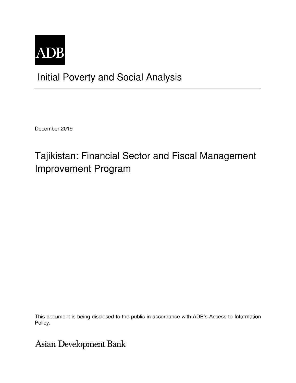

# Initial Poverty and Social Analysis

December 2019

# Tajikistan: Financial Sector and Fiscal Management Improvement Program

This document is being disclosed to the public in accordance with ADB's Access to Information Policy.

## **Asian Development Bank**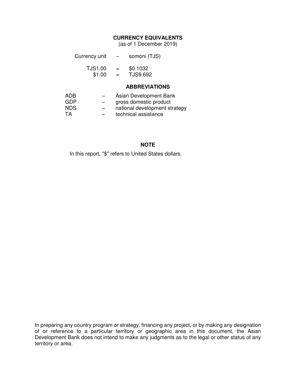### **CURRENCY EQUIVALENTS**

(as of 1 December 2019)

| Currency unit | _ | somoni (TJS) |
|---------------|---|--------------|
|---------------|---|--------------|

| TJS1.00 | $=$ | \$0.1032 |
|---------|-----|----------|
| \$1.00  | =   | TJS9.692 |

#### **ABBREVIATIONS**

| ADB       | $\overline{\phantom{0}}$ | Asian Development Bank        |
|-----------|--------------------------|-------------------------------|
| GDP       | $\overline{\phantom{m}}$ | gross domestic product        |
| NDS.      | $\overline{\phantom{0}}$ | national development strategy |
| <b>TA</b> |                          | technical assistance          |

#### **NOTE**

In this report, "\$" refers to United States dollars.

In preparing any country program or strategy, financing any project, or by making any designation of or reference to a particular territory or geographic area in this document, the Asian Development Bank does not intend to make any judgments as to the legal or other status of any territory or area.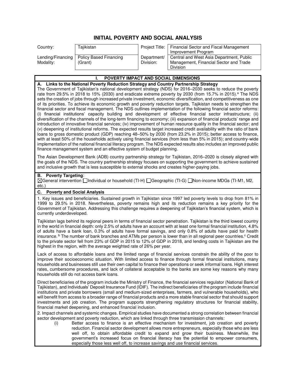### **INITIAL POVERTY AND SOCIAL ANALYSIS**

| Country:  | Tajikistan                                 |             | Project Title:   Financial Sector and Fiscal Management |
|-----------|--------------------------------------------|-------------|---------------------------------------------------------|
|           |                                            |             | Improvement Program                                     |
|           | Lending/Financing   Policy Based Financing | Department/ | Central and West Asia Department, Public                |
| Modality: | (Grant)                                    | Division:   | Management, Financial Sector and Trade                  |
|           |                                            |             | Division                                                |

#### **I. POVERTY IMPACT AND SOCIAL DIMENSIONS A. Links to the National Poverty Reduction Strategy and Country Partnership Strategy**  The Government of Tajikistan's national development strategy (NDS) for 2016–2030 seeks to reduce the poverty rate from 29.5% in 2018 to 15% (2030) and eradicate extreme poverty by 2030 (from 15.7% in 2015).<sup>a</sup> The NDS sets the creation of jobs through increased private investment, economic diversification, and competitiveness as one of its priorities. To achieve its economic growth and poverty reduction targets, Tajikistan needs to strengthen the financial sector and fiscal management. The NDS outlines implementation of the following financial sector reforms: (i) financial institutions' capacity building and development of effective financial sector infrastructure; (ii) diversification of the channels of the long-term financing to economy; (iii) expansion of financial products' range and introduction of innovative financial services; (iv) improvement of human resource quality in the financial sector; and (v) deepening of institutional reforms. The expected results target increased credit availability with the ratio of bank loans to gross domestic product (GDP) reaching 48–50% by 2030 (from 23.2% in 2015); better access to finance, with at least 50% of the households actively using financial services (from less than 5% in 2015); and country-wide implementation of the national financial literacy program. The NDS expected results also includes an improved public finance management system and an effective system of budget planning. The Asian Development Bank (ADB) country partnership strategy for Tajikistan, 2016–2020 is closely aligned with the goals of the NDS. The country partnership strategy focuses on supporting the government to achieve sustained and inclusive growth that is less susceptible to external shocks and creates higher-paying jobs. **B. Poverty Targeting**: General intervention Individual or household (TI-H) Geographic (TI-G) Non-income MDGs (TI-M1, M2, etc.) **C. Poverty and Social Analysis**  1. Key issues and beneficiaries. Sustained growth in Tajikistan since 1997 led poverty levels to drop from 81% in 1999 to 29.5% in 2018. Nevertheless, poverty remains high and its reduction remains a key priority for the Government of Tajikistan. Addressing this challenge requires a deepening of Tajikistan's financial system, which is currently underdeveloped. Tajikistan lags behind its regional peers in terms of financial sector penetration. Tajikistan is the third lowest country in the world in financial depth: only 2.5% of adults have an account with at least one formal financial institution, 4.8% of adults have a bank loan, 0.3% of adults have formal savings, and only 0.8% of adults have paid for health insurance. <sup>b</sup> The number of bank branches and ATMs per person is lower than in all regional peer countries.<sup>c</sup> Credit to the private sector fell from 23% of GDP in 2015 to 12% of GDP in 2018, and lending costs in Tajikistan are the highest in the region, with the average weighted rate of 26% per year. Lack of access to affordable loans and the limited range of financial services constrain the ability of the poor to improve their socioeconomic situation. With limited access to finance through formal financial institutions, many

households and businesses still use their own capital to finance their operations or seek informal loans. High interest rates, cumbersome procedures, and lack of collateral acceptable to the banks are some key reasons why many households still do not access bank loans.

Direct beneficiaries of the program include the Ministry of Finance, the financial services regulator (National Bank of Tajikistan), and Individuals' Deposit Insurance Fund (IDIF). The indirect beneficiaries of the program include financial institutions and private borrowers (small and medium-sized enterprises, farmers, and vulnerable households), who will benefit from access to a broader range of financial products and a more stable financial sector that should support investments and job creation. The program supports strengthening regulatory structures for financial stability, financial market deepening, and enhanced financial inclusion.

2. Impact channels and systemic changes. Empirical studies have documented a strong correlation between financial sector development and poverty reduction, which are linked through three transmission channels:

(i) Better access to finance is an effective mechanism for investment, job creation and poverty reduction. Financial sector development allows more entrepreneurs, especially those who are less well off, to obtain affordable credit to expand and grow their business. Meanwhile, the government's increased focus on financial literacy has the potential to empower consumers, especially those less well off, to increase savings and use financial services.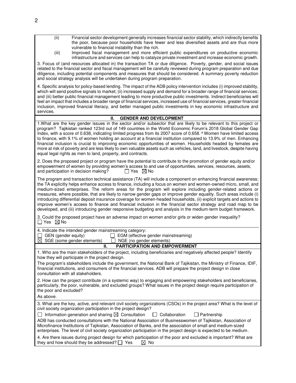| (ii)<br>Financial sector development generally increases financial sector stability, which indirectly benefits<br>the poor, because poor households have fewer and less diversified assets and are thus more<br>vulnerable to financial instability than the rich.<br>(iii)<br>Improved fiscal management and more efficient public expenditures on productive economic                                                                                                                                                                                                                                                                                                                                                                                                                                                              |
|--------------------------------------------------------------------------------------------------------------------------------------------------------------------------------------------------------------------------------------------------------------------------------------------------------------------------------------------------------------------------------------------------------------------------------------------------------------------------------------------------------------------------------------------------------------------------------------------------------------------------------------------------------------------------------------------------------------------------------------------------------------------------------------------------------------------------------------|
| infrastructure and services can help to catalyze private investment and increase economic growth.<br>3. Focus of (and resources allocated in) the transaction TA or due diligence. Poverty, gender, and social issues<br>related to the financial sector and fiscal management will be carefully reviewed during program preparation and due<br>diligence, including potential components and measures that should be considered. A summary poverty reduction<br>and social strategy analysis will be undertaken during program preparation.                                                                                                                                                                                                                                                                                         |
| 4. Specific analysis for policy-based lending. The impact of the ADB policy intervention includes (i) improved stability,<br>which will send positive signals to market; (ii) increased supply and demand for a broader range of financial services;<br>and (iii) better public financial management leading to more productive public investments. Indirect beneficiaries will<br>feel an impact that includes a broader range of financial services, increased use of financial services, greater financial<br>inclusion, improved financial literacy, and better managed public investments in key economic infrastructure and<br>services.                                                                                                                                                                                       |
| <b>GENDER AND DEVELOPMENT</b><br>Ш.                                                                                                                                                                                                                                                                                                                                                                                                                                                                                                                                                                                                                                                                                                                                                                                                  |
| 1. What are the key gender issues in the sector and/or subsector that are likely to be relevant to this project or<br>program? Tajikistan ranked 123rd out of 149 countries in the World Economic Forum's 2018 Global Gender Gap<br>Index, with a score of 0.638, indicating limited progress from its 2007 score of 0.658. <sup>d</sup> Women have limited access<br>to finance, with 9.1% of women holding an account at a financial institution compared to 13.9% of men. Enhancing<br>financial inclusion is crucial to improving economic opportunities of women. Households headed by females are<br>more at risk of poverty and are less likely to own valuable assets such as vehicles, land, and livestock, despite having<br>equal legal rights as men to land, property, and contracts.                                   |
| 2. Does the proposed project or program have the potential to contribute to the promotion of gender equity and/or<br>empowerment of women by providing women's access to and use of opportunities, services, resources, assets,<br>and participation in decision making?<br>$\Box$ Yes $\boxtimes$ No                                                                                                                                                                                                                                                                                                                                                                                                                                                                                                                                |
| The program and transaction technical assistance (TA) will include a component on enhancing financial awareness;<br>the TA explicitly helps enhance access to finance, including a focus on women and women-owned micro, small, and<br>medium-sized enterprises. The reform areas for the program will explore including gender-related actions or<br>measures, where possible, that are likely to narrow gender gaps or improve gender equality. Such areas include (i)<br>introducing differential deposit insurance coverage for women-headed households, (ii) explicit targets and actions to<br>improve women's access to finance and financial inclusion in the financial sector strategy and road map to be<br>developed, and (iii) introducing gender responsive budgeting and analysis in the medium-term budget framework. |
| 3. Could the proposed project have an adverse impact on women and/or girls or widen gender inequality?<br>$\Box$ Yes $\ \boxtimes$ No                                                                                                                                                                                                                                                                                                                                                                                                                                                                                                                                                                                                                                                                                                |
| 4. Indicate the intended gender mainstreaming category:<br>GEN (gender equity)<br>EGM (effective gender mainstreaming)<br>$\boxtimes$ SGE (some gender elements)<br>NGE (no gender elements)                                                                                                                                                                                                                                                                                                                                                                                                                                                                                                                                                                                                                                         |
| <b>PARTICIPATION AND EMPOWERMENT</b><br>Н.                                                                                                                                                                                                                                                                                                                                                                                                                                                                                                                                                                                                                                                                                                                                                                                           |
| 1. Who are the main stakeholders of the project, including beneficiaries and negatively affected people? Identify<br>how they will participate in the project design.<br>The program's stakeholders include the government, the National Bank of Tajikistan, the Ministry of Finance, IDIF,                                                                                                                                                                                                                                                                                                                                                                                                                                                                                                                                          |
| financial institutions, and consumers of the financial services. ADB will prepare the project design in close<br>consultation with all stakeholders.                                                                                                                                                                                                                                                                                                                                                                                                                                                                                                                                                                                                                                                                                 |
| 2. How can the project contribute (in a systemic way) to engaging and empowering stakeholders and beneficiaries,<br>particularly, the poor, vulnerable, and excluded groups? What issues in the project design require participation of<br>the poor and excluded?<br>As above.                                                                                                                                                                                                                                                                                                                                                                                                                                                                                                                                                       |
|                                                                                                                                                                                                                                                                                                                                                                                                                                                                                                                                                                                                                                                                                                                                                                                                                                      |
| 3. What are the key, active, and relevant civil society organizations (CSOs) in the project area? What is the level of<br>civil society organization participation in the project design?                                                                                                                                                                                                                                                                                                                                                                                                                                                                                                                                                                                                                                            |
| $\Box$ Information generation and sharing $\boxtimes$ Consultation<br>$\Box$ Collaboration<br>Partnership<br>$\mathsf{L}$                                                                                                                                                                                                                                                                                                                                                                                                                                                                                                                                                                                                                                                                                                            |
| ADB has conducted consultations with the National Association of Businesswomen of Tajikistan, Association of<br>Microfinance Institutions of Tajikistan, Association of Banks, and the association of small and medium-sized<br>enterprises. The level of civil society organization participation in the project design is expected to be medium.                                                                                                                                                                                                                                                                                                                                                                                                                                                                                   |
| 4. Are there issues during project design for which participation of the poor and excluded is important? What are<br>they and how should they be addressed? $\Box$ Yes<br>$\boxtimes$ No                                                                                                                                                                                                                                                                                                                                                                                                                                                                                                                                                                                                                                             |